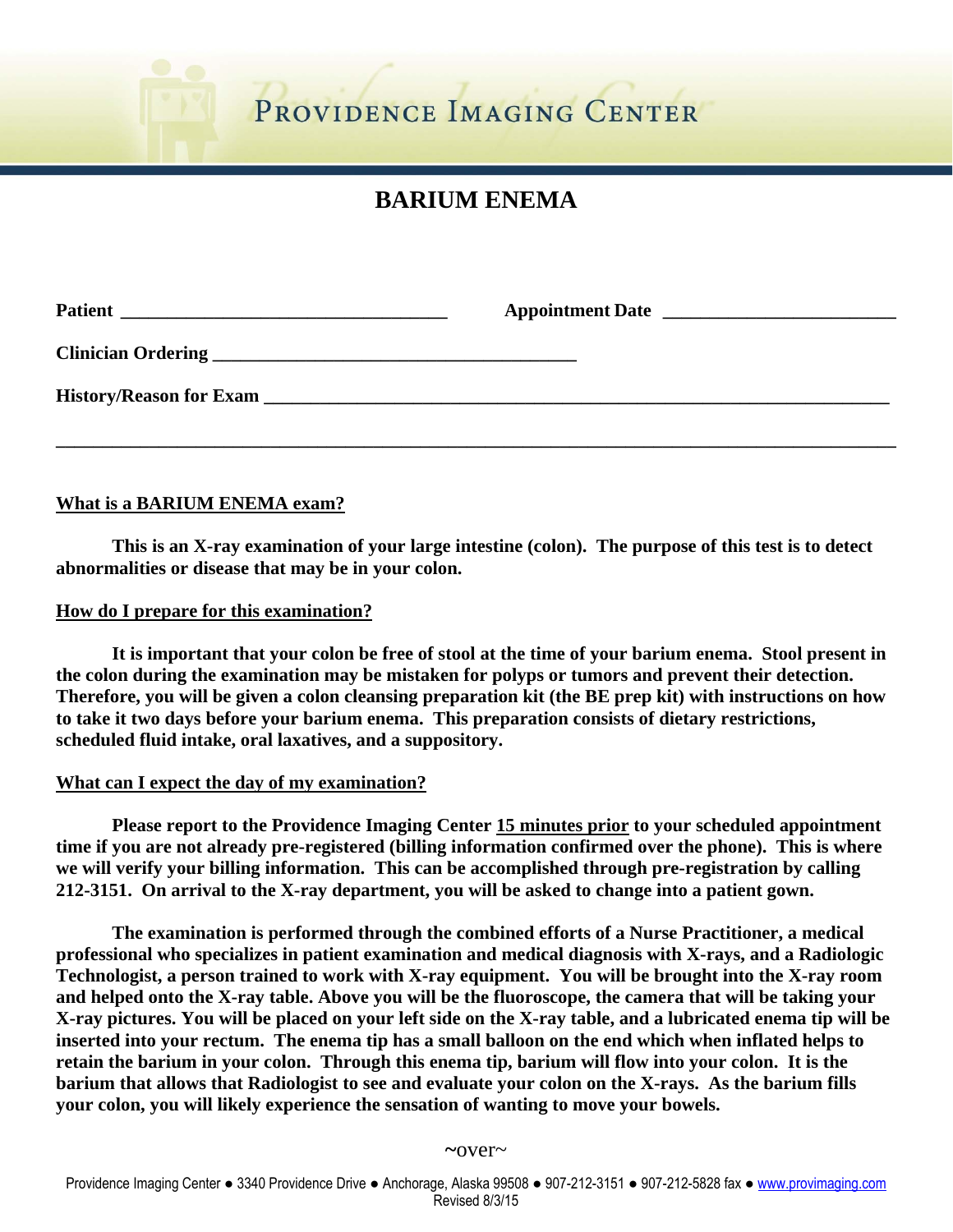# **BARIUM ENEMA**

## **What is a BARIUM ENEMA exam?**

 **This is an X-ray examination of your large intestine (colon). The purpose of this test is to detect abnormalities or disease that may be in your colon.** 

#### **How do I prepare for this examination?**

 **It is important that your colon be free of stool at the time of your barium enema. Stool present in the colon during the examination may be mistaken for polyps or tumors and prevent their detection. Therefore, you will be given a colon cleansing preparation kit (the BE prep kit) with instructions on how to take it two days before your barium enema. This preparation consists of dietary restrictions, scheduled fluid intake, oral laxatives, and a suppository.** 

## **What can I expect the day of my examination?**

 **Please report to the Providence Imaging Center 15 minutes prior to your scheduled appointment time if you are not already pre-registered (billing information confirmed over the phone). This is where we will verify your billing information. This can be accomplished through pre-registration by calling 212-3151. On arrival to the X-ray department, you will be asked to change into a patient gown.** 

 **The examination is performed through the combined efforts of a Nurse Practitioner, a medical professional who specializes in patient examination and medical diagnosis with X-rays, and a Radiologic Technologist, a person trained to work with X-ray equipment. You will be brought into the X-ray room and helped onto the X-ray table. Above you will be the fluoroscope, the camera that will be taking your X-ray pictures. You will be placed on your left side on the X-ray table, and a lubricated enema tip will be inserted into your rectum. The enema tip has a small balloon on the end which when inflated helps to retain the barium in your colon. Through this enema tip, barium will flow into your colon. It is the barium that allows that Radiologist to see and evaluate your colon on the X-rays. As the barium fills your colon, you will likely experience the sensation of wanting to move your bowels.**